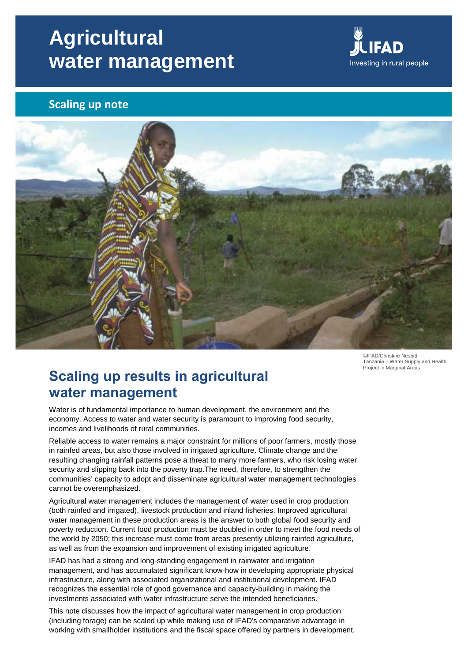# **Agricultural water management**



## **Scaling up note**



©IFAD/Christine Nesbitt Tanzania – Water Supply and Health Project in Marginal Areas

# **Scaling up results in agricultural water management**

Water is of fundamental importance to human development, the environment and the economy. Access to water and water security is paramount to improving food security, incomes and livelihoods of rural communities.

Reliable access to water remains a major constraint for millions of poor farmers, mostly those in rainfed areas, but also those involved in irrigated agriculture. Climate change and the resulting changing rainfall patterns pose a threat to many more farmers, who risk losing water security and slipping back into the poverty trap.The need, therefore, to strengthen the communities' capacity to adopt and disseminate agricultural water management technologies cannot be overemphasized.

Agricultural water management includes the management of water used in crop production (both rainfed and irrigated), livestock production and inland fisheries. Improved agricultural water management in these production areas is the answer to both global food security and poverty reduction. Current food production must be doubled in order to meet the food needs of the world by 2050; this increase must come from areas presently utilizing rainfed agriculture, as well as from the expansion and improvement of existing irrigated agriculture.

IFAD has had a strong and long-standing engagement in rainwater and irrigation management, and has accumulated significant know-how in developing appropriate physical infrastructure, along with associated organizational and institutional development. IFAD recognizes the essential role of good governance and capacity-building in making the investments associated with water infrastructure serve the intended beneficiaries.

This note discusses how the impact of agricultural water management in crop production (including forage) can be scaled up while making use of IFAD's comparative advantage in working with smallholder institutions and the fiscal space offered by partners in development.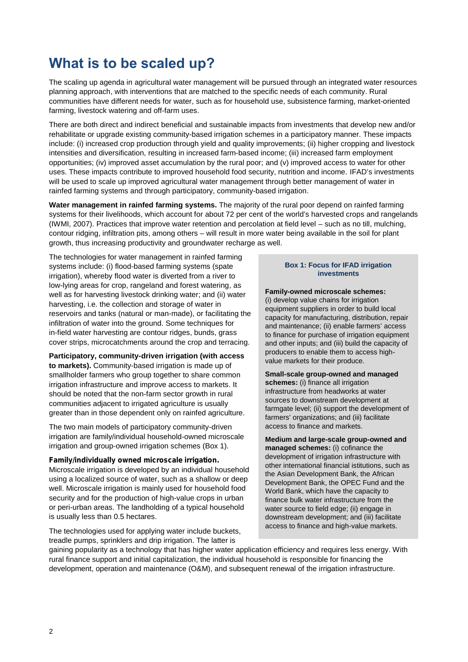# **What is to be scaled up?**

The scaling up agenda in agricultural water management will be pursued through an integrated water resources planning approach, with interventions that are matched to the specific needs of each community. Rural communities have different needs for water, such as for household use, subsistence farming, market-oriented farming, livestock watering and off-farm uses.

There are both direct and indirect beneficial and sustainable impacts from investments that develop new and/or rehabilitate or upgrade existing community-based irrigation schemes in a participatory manner. These impacts include: (i) increased crop production through yield and quality improvements; (ii) higher cropping and livestock intensities and diversification, resulting in increased farm-based income; (iii) increased farm employment opportunities; (iv) improved asset accumulation by the rural poor; and (v) improved access to water for other uses. These impacts contribute to improved household food security, nutrition and income. IFAD's investments will be used to scale up improved agricultural water management through better management of water in rainfed farming systems and through participatory, community-based irrigation.

**Water management in rainfed farming systems.** The majority of the rural poor depend on rainfed farming systems for their livelihoods, which account for about 72 per cent of the world's harvested crops and rangelands (IWMI, 2007). Practices that improve water retention and percolation at field level – such as no till, mulching, contour ridging, infiltration pits, among others – will result in more water being available in the soil for plant growth, thus increasing productivity and groundwater recharge as well.

The technologies for water management in rainfed farming systems include: (i) flood-based farming systems (spate irrigation), whereby flood water is diverted from a river to low-lying areas for crop, rangeland and forest watering, as well as for harvesting livestock drinking water; and (ii) water harvesting, i.e. the collection and storage of water in reservoirs and tanks (natural or man-made), or facilitating the infiltration of water into the ground. Some techniques for in-field water harvesting are contour ridges, bunds, grass cover strips, microcatchments around the crop and terracing.

**Participatory, community-driven irrigation (with access to markets).** Community-based irrigation is made up of smallholder farmers who group together to share common irrigation infrastructure and improve access to markets. It should be noted that the non-farm sector growth in rural communities adjacent to irrigated agriculture is usually greater than in those dependent only on rainfed agriculture.

The two main models of participatory community-driven irrigation are family/individual household-owned microscale irrigation and group-owned irrigation schemes (Box 1).

#### *Family/individually owned microscale irrigation.*

Microscale irrigation is developed by an individual household using a localized source of water, such as a shallow or deep well. Microscale irrigation is mainly used for household food security and for the production of high-value crops in urban or peri-urban areas. The landholding of a typical household is usually less than 0.5 hectares.

The technologies used for applying water include buckets, treadle pumps, sprinklers and drip irrigation. The latter is

#### **Box 1: Focus for IFAD irrigation investments**

**Family-owned microscale schemes:** (i) develop value chains for irrigation equipment suppliers in order to build local capacity for manufacturing, distribution, repair and maintenance; (ii) enable farmers' access to finance for purchase of irrigation equipment and other inputs; and (iii) build the capacity of producers to enable them to access high value markets for their produce.

**Small-scale group-owned and managed schemes:** (i) finance all irrigation infrastructure from headworks at water sources to downstream development at farmgate level; (ii) support the development of farmers' organizations; and (iii) facilitate access to finance and markets.

**Medium and large-scale group-owned and managed schemes:** (i) cofinance the development of irrigation infrastructure with other international financial istitutions, such as the Asian Development Bank, the African Development Bank, the OPEC Fund and the World Bank, which have the capacity to finance bulk water infrastructure from the water source to field edge; (ii) engage in downstream development; and (iii) facilitate access to finance and high-value markets.

gaining popularity as a technology that has higher water application efficiency and requires less energy. With rural finance support and initial capitalization, the individual household is responsible for financing the development, operation and maintenance (O&M), and subsequent renewal of the irrigation infrastructure.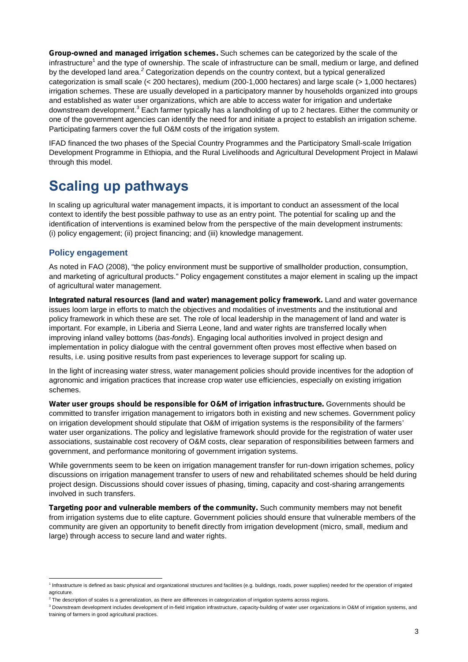*Group-owned and managed irrigation schemes.* Such schemes can be categorized by the scale of the infrastructure<sup>1</sup> and the type of ownership. The scale of infrastructure can be small, medium or large, and defined by the developed land area.*<sup>2</sup>* Categorization depends on the country context, but a typical generalized categorization is small scale (< 200 hectares), medium (200-1,000 hectares) and large scale (> 1,000 hectares) irrigation schemes. These are usually developed in a participatory manner by households organized into groups and established as water user organizations, which are able to access water for irrigation and undertake downstream development.<sup>3</sup> Each farmer typically has a landholding of up to 2 hectares. Either the community or one of the government agencies can identify the need for and initiate a project to establish an irrigation scheme. Participating farmers cover the full O&M costs of the irrigation system.

IFAD financed the two phases of the Special Country Programmes and the Participatory Small-scale Irrigation Development Programme in Ethiopia, and the Rural Livelihoods and Agricultural Development Project in Malawi through this model.

# **Scaling up pathways**

In scaling up agricultural water management impacts, it is important to conduct an assessment of the local context to identify the best possible pathway to use as an entry point. The potential for scaling up and the identification of interventions is examined below from the perspective of the main development instruments: (i) policy engagement; (ii) project financing; and (iii) knowledge management.

### **Policy engagement**

As noted in FAO (2008), "the policy environment must be supportive of smallholder production, consumption, and marketing of agricultural products." Policy engagement constitutes a major element in scaling up the impact of agricultural water management.

*Integrated natural resources (land and water) management policy framework.* Land and water governance issues loom large in efforts to match the objectives and modalities of investments and the institutional and policy framework in which these are set. The role of local leadership in the management of land and water is important. For example, in Liberia and Sierra Leone, land and water rights are transferred locally when improving inland valley bottoms (*bas-fonds*). Engaging local authorities involved in project design and implementation in policy dialogue with the central government often proves most effective when based on results, i.e. using positive results from past experiences to leverage support for scaling up.

In the light of increasing water stress, water management policies should provide incentives for the adoption of agronomic and irrigation practices that increase crop water use efficiencies, especially on existing irrigation schemes.

*Water user groups should be responsible for O&M of irrigation infrastructure.* Governments should be committed to transfer irrigation management to irrigators both in existing and new schemes. Government policy on irrigation development should stipulate that O&M of irrigation systems is the responsibility of the farmers' water user organizations. The policy and legislative framework should provide for the registration of water user associations, sustainable cost recovery of O&M costs, clear separation of responsibilities between farmers and government, and performance monitoring of government irrigation systems.

While governments seem to be keen on irrigation management transfer for run-down irrigation schemes, policy discussions on irrigation management transfer to users of new and rehabilitated schemes should be held during project design. Discussions should cover issues of phasing, timing, capacity and cost-sharing arrangements involved in such transfers.

*Targeting poor and vulnerable members of the community.* Such community members may not benefit from irrigation systems due to elite capture. Government policies should ensure that vulnerable members of the community are given an opportunity to benefit directly from irrigation development (micro, small, medium and large) through access to secure land and water rights.

<sup>&</sup>lt;sup>1</sup> Infrastructure is defined as basic physical and organizational structures and facilities (e.g. buildings, roads, power supplies) needed for the operation of irrigated agricuture

 $2$  The description of scales is a generalization, as there are differences in categorization of irrigation systems across regions.

<sup>&</sup>lt;sup>3</sup> Downstream development includes development of in-field irrigation infrastructure, capacity-building of water user organizations in O&M of irrigation systems, and training of farmers in good agricultural practices.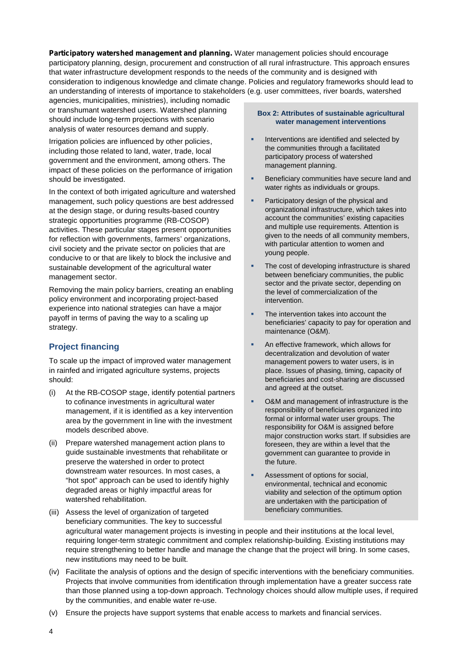*Participatory watershed management and planning.* Water management policies should encourage participatory planning, design, procurement and construction of all rural infrastructure. This approach ensures that water infrastructure development responds to the needs of the community and is designed with consideration to indigenous knowledge and climate change. Policies and regulatory frameworks should lead to an understanding of interests of importance to stakeholders (e.g. user committees, river boards, watershed

agencies, municipalities, ministries), including nomadic or transhumant watershed users. Watershed planning should include long-term projections with scenario analysis of water resources demand and supply.

Irrigation policies are influenced by other policies, including those related to land, water, trade, local government and the environment, among others. The impact of these policies on the performance of irrigation should be investigated.

In the context of both irrigated agriculture and watershed management, such policy questions are best addressed at the design stage, or during results-based country strategic opportunities programme (RB-COSOP) activities. These particular stages present opportunities for reflection with governments, farmers' organizations, civil society and the private sector on policies that are conducive to or that are likely to block the inclusive and sustainable development of the agricultural water management sector.

Removing the main policy barriers, creating an enabling policy environment and incorporating project-based experience into national strategies can have a major payoff in terms of paving the way to a scaling up strategy.

### **Project financing**

To scale up the impact of improved water management in rainfed and irrigated agriculture systems, projects should:

- (i) At the RB-COSOP stage, identify potential partners to cofinance investments in agricultural water management, if it is identified as a key intervention area by the government in line with the investment models described above.
- (ii) Prepare watershed management action plans to guide sustainable investments that rehabilitate or preserve the watershed in order to protect downstream water resources. In most cases, a "hot spot" approach can be used to identify highly degraded areas or highly impactful areas for watershed rehabilitation.

#### **Box 2: Attributes of sustainable agricultural water management interventions**

- **Interventions are identified and selected by** the communities through a facilitated participatory process of watershed management planning.
- Beneficiary communities have secure land and water rights as individuals or groups.
- Participatory design of the physical and organizational infrastructure, which takes into account the communities' existing capacities and multiple use requirements. Attention is given to the needs of all community members, with particular attention to women and young people.
- The cost of developing infrastructure is shared between beneficiary communities, the public sector and the private sector, depending on the level of commercialization of the intervention.
- The intervention takes into account the beneficiaries' capacity to pay for operation and maintenance (O&M).
- An effective framework, which allows for decentralization and devolution of water management powers to water users, is in place. Issues of phasing, timing, capacity of beneficiaries and cost-sharing are discussed and agreed at the outset.
- O&M and management of infrastructure is the responsibility of beneficiaries organized into formal or informal water user groups. The responsibility for O&M is assigned before major construction works start. If subsidies are foreseen, they are within a level that the government can guarantee to provide in the future.
- Assessment of options for social, environmental, technical and economic viability and selection of the optimum option are undertaken with the participation of beneficiary communities.
- (iii) Assess the level of organization of targeted beneficiary communities. The key to successful agricultural water management projects is investing in people and their institutions at the local level, requiring longer-term strategic commitment and complex relationship-building. Existing institutions may require strengthening to better handle and manage the change that the project will bring. In some cases, new institutions may need to be built.
- (iv) Facilitate the analysis of options and the design of specific interventions with the beneficiary communities. Projects that involve communities from identification through implementation have a greater success rate than those planned using a top-down approach. Technology choices should allow multiple uses, if required by the communities, and enable water re-use.
- (v) Ensure the projects have support systems that enable access to markets and financial services.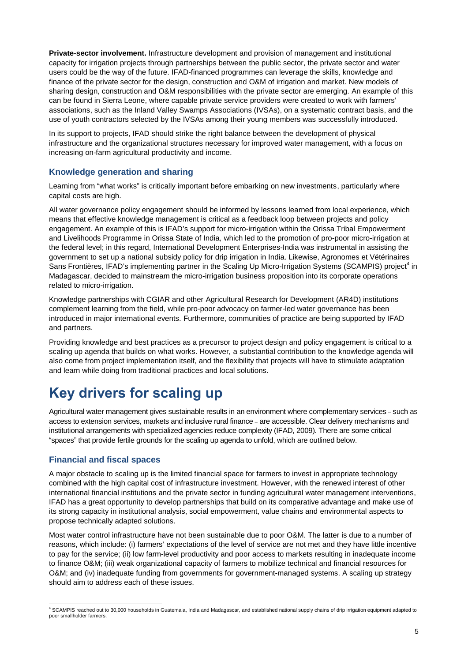**Private-sector involvement.** Infrastructure development and provision of management and institutional capacity for irrigation projects through partnerships between the public sector, the private sector and water users could be the way of the future. IFAD-financed programmes can leverage the skills, knowledge and finance of the private sector for the design, construction and O&M of irrigation and market. New models of sharing design, construction and O&M responsibilities with the private sector are emerging. An example of this can be found in Sierra Leone, where capable private service providers were created to work with farmers' associations, such as the Inland Valley Swamps Associations (IVSAs), on a systematic contract basis, and the use of youth contractors selected by the IVSAs among their young members was successfully introduced.

In its support to projects, IFAD should strike the right balance between the development of physical infrastructure and the organizational structures necessary for improved water management, with a focus on increasing on-farm agricultural productivity and income.

### **Knowledge generation and sharing**

Learning from "what works" is critically important before embarking on new investments, particularly where capital costs are high.

All water governance policy engagement should be informed by lessons learned from local experience, which means that effective knowledge management is critical as a feedback loop between projects and policy engagement. An example of this is IFAD's support for micro-irrigation within the Orissa Tribal Empowerment and Livelihoods Programme in Orissa State of India, which led to the promotion of pro-poor micro-irrigation at the federal level; in this regard, International Development Enterprises-India was instrumental in assisting the government to set up a national subsidy policy for drip irrigation in India. Likewise, Agronomes et Vétérinaires Sans Frontières, IFAD's implementing partner in the Scaling Up Micro-Irrigation Systems (SCAMPIS) project<sup>4</sup> in Madagascar, decided to mainstream the micro-irrigation business proposition into its corporate operations related to micro-irrigation.

Knowledge partnerships with CGIAR and other Agricultural Research for Development (AR4D) institutions complement learning from the field, while pro-poor advocacy on farmer-led water governance has been introduced in major international events. Furthermore, communities of practice are being supported by IFAD and partners.

Providing knowledge and best practices as a precursor to project design and policy engagement is critical to a scaling up agenda that builds on what works. However, a substantial contribution to the knowledge agenda will also come from project implementation itself, and the flexibility that projects will have to stimulate adaptation and learn while doing from traditional practices and local solutions.

# **Key drivers for scaling up**

Agricultural water management gives sustainable results in an environment where complementary services – such as access to extension services, markets and inclusive rural finance – are accessible. Clear delivery mechanisms and institutional arrangements with specialized agencies reduce complexity (IFAD, 2009). There are some critical "spaces" that provide fertile grounds for the scaling up agenda to unfold, which are outlined below.

### **Financial and fiscal spaces**

A major obstacle to scaling up is the limited financial space for farmers to invest in appropriate technology combined with the high capital cost of infrastructure investment. However, with the renewed interest of other international financial institutions and the private sector in funding agricultural water management interventions, IFAD has a great opportunity to develop partnerships that build on its comparative advantage and make use of its strong capacity in institutional analysis, social empowerment, value chains and environmental aspects to propose technically adapted solutions.

Most water control infrastructure have not been sustainable due to poor O&M. The latter is due to a number of reasons, which include: (i) farmers' expectations of the level of service are not met and they have little incentive to pay for the service; (ii) low farm-level productivity and poor access to markets resulting in inadequate income to finance O&M; (iii) weak organizational capacity of farmers to mobilize technical and financial resources for O&M; and (iv) inadequate funding from governments for government-managed systems. A scaling up strategy should aim to address each of these issues.

<sup>4</sup> SCAMPIS reached out to 30,000 households in Guatemala, India and Madagascar, and established national supply chains of drip irrigation equipment adapted to poor smallholder farmers.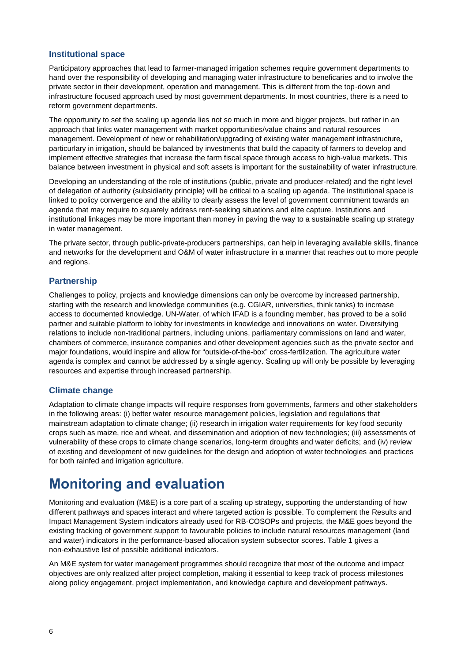### **Institutional space**

Participatory approaches that lead to farmer-managed irrigation schemes require government departments to hand over the responsibility of developing and managing water infrastructure to beneficaries and to involve the private sector in their development, operation and management. This is different from the top-down and infrastructure focused approach used by most government departments. In most countries, there is a need to reform government departments.

The opportunity to set the scaling up agenda lies not so much in more and bigger projects, but rather in an approach that links water management with market opportunities/value chains and natural resources management. Development of new or rehabilitation/upgrading of existing water management infrastructure, particurlary in irrigation, should be balanced by investments that build the capacity of farmers to develop and implement effective strategies that increase the farm fiscal space through access to high-value markets. This balance between investment in physical and soft assets is important for the sustainability of water infrastructure.

Developing an understanding of the role of institutions (public, private and producer-related) and the right level of delegation of authority (subsidiarity principle) will be critical to a scaling up agenda. The institutional space is linked to policy convergence and the ability to clearly assess the level of government commitment towards an agenda that may require to squarely address rent-seeking situations and elite capture. Institutions and institutional linkages may be more important than money in paving the way to a sustainable scaling up strategy in water management.

The private sector, through public-private-producers partnerships, can help in leveraging available skills, finance and networks for the development and O&M of water infrastructure in a manner that reaches out to more people and regions.

### **Partnership**

Challenges to policy, projects and knowledge dimensions can only be overcome by increased partnership, starting with the research and knowledge communities (e.g. CGIAR, universities, think tanks) to increase access to documented knowledge. UN-Water, of which IFAD is a founding member, has proved to be a solid partner and suitable platform to lobby for investments in knowledge and innovations on water. Diversifying relations to include non-traditional partners, including unions, parliamentary commissions on land and water, chambers of commerce, insurance companies and other development agencies such as the private sector and major foundations, would inspire and allow for "outside-of-the-box" cross-fertilization. The agriculture water agenda is complex and cannot be addressed by a single agency. Scaling up will only be possible by leveraging resources and expertise through increased partnership.

### **Climate change**

Adaptation to climate change impacts will require responses from governments, farmers and other stakeholders in the following areas: (i) better water resource management policies, legislation and regulations that mainstream adaptation to climate change; (ii) research in irrigation water requirements for key food security crops such as maize, rice and wheat, and dissemination and adoption of new technologies; (iii) assessments of vulnerability of these crops to climate change scenarios, long-term droughts and water deficits; and (iv) review of existing and development of new guidelines for the design and adoption of water technologies and practices for both rainfed and irrigation agriculture.

# **Monitoring and evaluation**

Monitoring and evaluation (M&E) is a core part of a scaling up strategy, supporting the understanding of how different pathways and spaces interact and where targeted action is possible. To complement the Results and Impact Management System indicators already used for RB-COSOPs and projects, the M&E goes beyond the existing tracking of government support to favourable policies to include natural resources management (land and water) indicators in the performance-based allocation system subsector scores. Table 1 gives a non-exhaustive list of possible additional indicators.

An M&E system for water management programmes should recognize that most of the outcome and impact objectives are only realized after project completion, making it essential to keep track of process milestones along policy engagement, project implementation, and knowledge capture and development pathways.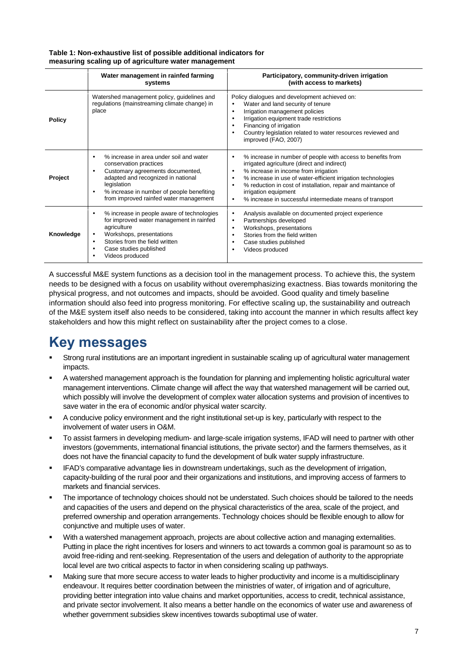| Table 1: Non-exhaustive list of possible additional indicators for |  |
|--------------------------------------------------------------------|--|
| measuring scaling up of agriculture water management               |  |

|               | Water management in rainfed farming<br>systems                                                                                                                                                                                                                                           | Participatory, community-driven irrigation<br>(with access to markets)                                                                                                                                                                                                                                                                                                                                                          |
|---------------|------------------------------------------------------------------------------------------------------------------------------------------------------------------------------------------------------------------------------------------------------------------------------------------|---------------------------------------------------------------------------------------------------------------------------------------------------------------------------------------------------------------------------------------------------------------------------------------------------------------------------------------------------------------------------------------------------------------------------------|
| <b>Policy</b> | Watershed management policy, guidelines and<br>regulations (mainstreaming climate change) in<br>place                                                                                                                                                                                    | Policy dialogues and development achieved on:<br>Water and land security of tenure<br>Irrigation management policies<br>$\bullet$<br>Irrigation equipment trade restrictions<br>$\bullet$<br>Financing of irrigation<br>$\bullet$<br>Country legislation related to water resources reviewed and<br>$\bullet$<br>improved (FAO, 2007)                                                                                           |
| Project       | % increase in area under soil and water<br>$\bullet$<br>conservation practices<br>Customary agreements documented,<br>$\bullet$<br>adapted and recognized in national<br>legislation<br>% increase in number of people benefiting<br>$\bullet$<br>from improved rainfed water management | % increase in number of people with access to benefits from<br>٠<br>irrigated agriculture (direct and indirect)<br>% increase in income from irrigation<br>$\bullet$<br>% increase in use of water-efficient irrigation technologies<br>$\bullet$<br>% reduction in cost of installation, repair and maintance of<br>$\bullet$<br>irrigation equipment<br>% increase in successful intermediate means of transport<br>$\bullet$ |
| Knowledge     | % increase in people aware of technologies<br>$\bullet$<br>for improved water management in rainfed<br>agriculture<br>Workshops, presentations<br>$\bullet$<br>Stories from the field written<br>$\bullet$<br>Case studies published<br>٠<br>Videos produced                             | Analysis available on documented project experience<br>$\bullet$<br>Partnerships developed<br>$\bullet$<br>Workshops, presentations<br>$\bullet$<br>Stories from the field written<br>$\bullet$<br>Case studies published<br>$\bullet$<br>Videos produced                                                                                                                                                                       |

A successful M&E system functions as a decision tool in the management process. To achieve this, the system needs to be designed with a focus on usability without overemphasizing exactness. Bias towards monitoring the physical progress, and not outcomes and impacts, should be avoided. Good quality and timely baseline information should also feed into progress monitoring. For effective scaling up, the sustainability and outreach of the M&E system itself also needs to be considered, taking into account the manner in which results affect key stakeholders and how this might reflect on sustainability after the project comes to a close.

# **Key messages**

- Strong rural institutions are an important ingredient in sustainable scaling up of agricultural water management impacts.
- A watershed management approach is the foundation for planning and implementing holistic agricultural water management interventions. Climate change will affect the way that watershed management will be carried out, which possibly will involve the development of complex water allocation systems and provision of incentives to save water in the era of economic and/or physical water scarcity.
- A conducive policy environment and the right institutional set-up is key, particularly with respect to the involvement of water users in O&M.
- To assist farmers in developing medium- and large-scale irrigation systems, IFAD will need to partner with other investors (governments, international financial istitutions, the private sector) and the farmers themselves, as it does not have the financial capacity to fund the development of bulk water supply infrastructure.
- IFAD's comparative advantage lies in downstream undertakings, such as the development of irrigation, capacity-building of the rural poor and their organizations and institutions, and improving access of farmers to markets and financial services.
- The importance of technology choices should not be understated. Such choices should be tailored to the needs and capacities of the users and depend on the physical characteristics of the area, scale of the project, and preferred ownership and operation arrangements. Technology choices should be flexible enough to allow for conjunctive and multiple uses of water.
- With a watershed management approach, projects are about collective action and managing externalities. Putting in place the right incentives for losers and winners to act towards a common goal is paramount so as to avoid free-riding and rent-seeking. Representation of the users and delegation of authority to the appropriate local level are two critical aspects to factor in when considering scaling up pathways.
- Making sure that more secure access to water leads to higher productivity and income is a multidisciplinary endeavour. It requires better coordination between the ministries of water, of irrigation and of agriculture, providing better integration into value chains and market opportunities, access to credit, technical assistance, and private sector involvement. It also means a better handle on the economics of water use and awareness of whether government subsidies skew incentives towards suboptimal use of water.